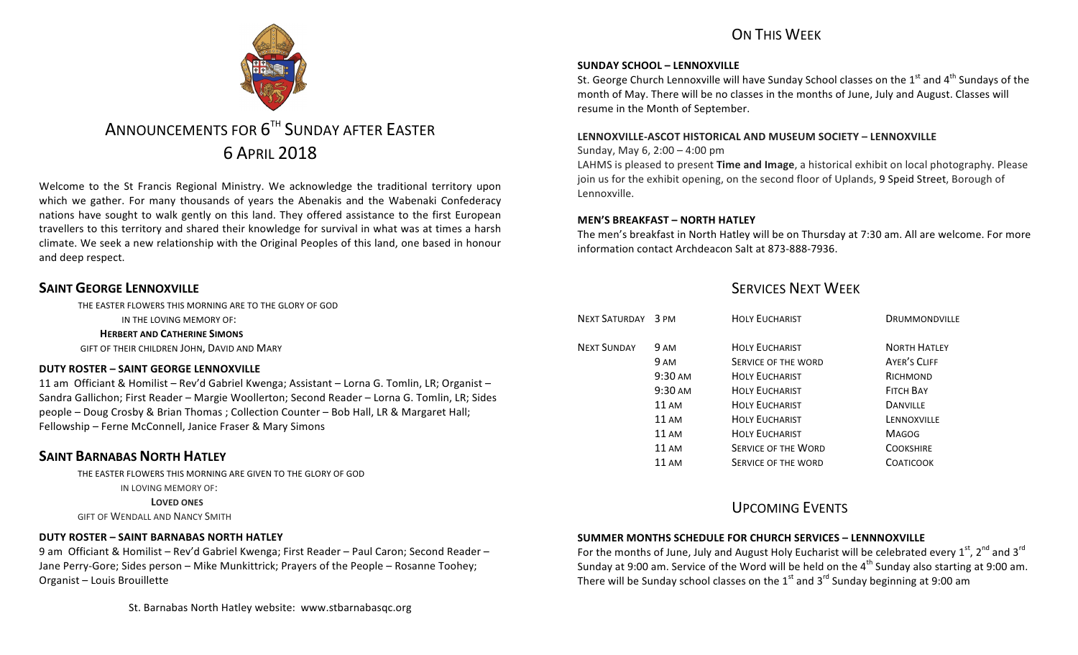

# ANNOUNCEMENTS FOR 6<sup>TH</sup> SUNDAY AFTER EASTER 6 APRIL 2018

Welcome to the St Francis Regional Ministry. We acknowledge the traditional territory upon which we gather. For many thousands of years the Abenakis and the Wabenaki Confederacy nations have sought to walk gently on this land. They offered assistance to the first European travellers to this territory and shared their knowledge for survival in what was at times a harsh climate. We seek a new relationship with the Original Peoples of this land, one based in honour and deep respect.

## **SAINT GEORGE LENNOXVILLE**

THE FASTER FLOWERS THIS MORNING ARE TO THE GLORY OF GOD IN THE LOVING MEMORY OF:

**HERBERT AND CATHERINE SIMONS** 

GIFT OF THEIR CHILDREN JOHN, DAVID AND MARY

## **DUTY ROSTER – SAINT GEORGE LENNOXVILLE**

11 am Officiant & Homilist - Rev'd Gabriel Kwenga; Assistant - Lorna G. Tomlin, LR; Organist -Sandra Gallichon; First Reader – Margie Woollerton; Second Reader – Lorna G. Tomlin, LR; Sides people – Doug Crosby & Brian Thomas ; Collection Counter – Bob Hall, LR & Margaret Hall; Fellowship – Ferne McConnell, Janice Fraser & Mary Simons

## **SAINT BARNABAS NORTH HATLEY**

THE EASTER FLOWERS THIS MORNING ARE GIVEN TO THE GLORY OF GOD

IN LOVING MEMORY OF:

**LOVED ONES** 

**GIFT OF WENDALL AND NANCY SMITH** 

## **DUTY ROSTER – SAINT BARNABAS NORTH HATLEY**

9 am Officiant & Homilist – Rev'd Gabriel Kwenga; First Reader – Paul Caron; Second Reader – Jane Perry-Gore; Sides person – Mike Munkittrick; Prayers of the People – Rosanne Toohey; Organist - Louis Brouillette

ON THIS WFFK

## **SUNDAY SCHOOL – LENNOXVILLE**

St. George Church Lennoxville will have Sunday School classes on the  $1^{st}$  and  $4^{th}$  Sundays of the month of May. There will be no classes in the months of June, July and August. Classes will resume in the Month of September.

## **LENNOXVILLE-ASCOT HISTORICAL AND MUSEUM SOCIETY – LENNOXVILLE**

Sunday, May 6,  $2:00 - 4:00$  pm

LAHMS is pleased to present **Time and Image**, a historical exhibit on local photography. Please join us for the exhibit opening, on the second floor of Uplands, 9 Speid Street, Borough of Lennoxville.

## **MEN'S BREAKFAST – NORTH HATLEY**

The men's breakfast in North Hatley will be on Thursday at 7:30 am. All are welcome. For more information contact Archdeacon Salt at 873-888-7936.

## SERVICES NEXT WEEK

| NEXT SATURDAY 3 PM |                 | <b>HOLY EUCHARIST</b>      | <b>DRUMMONDVILLE</b> |
|--------------------|-----------------|----------------------------|----------------------|
| <b>NEXT SUNDAY</b> | <b>9 AM</b>     | <b>HOLY EUCHARIST</b>      | <b>NORTH HATLEY</b>  |
|                    | 9 AM            | SERVICE OF THE WORD        | AYER'S CLIFF         |
|                    | $9:30$ AM       | <b>HOLY EUCHARIST</b>      | RICHMOND             |
|                    | $9:30$ AM       | <b>HOLY EUCHARIST</b>      | <b>FITCH BAY</b>     |
|                    | $11 \text{ AM}$ | <b>HOLY EUCHARIST</b>      | <b>DANVILLE</b>      |
|                    | <b>11 AM</b>    | <b>HOLY EUCHARIST</b>      | LENNOXVILLE          |
|                    | <b>11 AM</b>    | <b>HOLY EUCHARIST</b>      | <b>MAGOG</b>         |
|                    | 11 AM           | <b>SERVICE OF THE WORD</b> | <b>COOKSHIRE</b>     |
|                    | 11AM            | SERVICE OF THE WORD        | COATICOOK            |
|                    |                 |                            |                      |

## UPCOMING EVENTS

## **SUMMER MONTHS SCHEDULE FOR CHURCH SERVICES – LENNNOXVILLE**

For the months of June, July and August Holy Eucharist will be celebrated every  $1^{st}$ ,  $2^{nd}$  and  $3^{rd}$ Sunday at 9:00 am. Service of the Word will be held on the  $4<sup>th</sup>$  Sunday also starting at 9:00 am. There will be Sunday school classes on the  $1<sup>st</sup>$  and  $3<sup>rd</sup>$  Sunday beginning at 9:00 am

St. Barnabas North Hatley website: www.stbarnabasgc.org